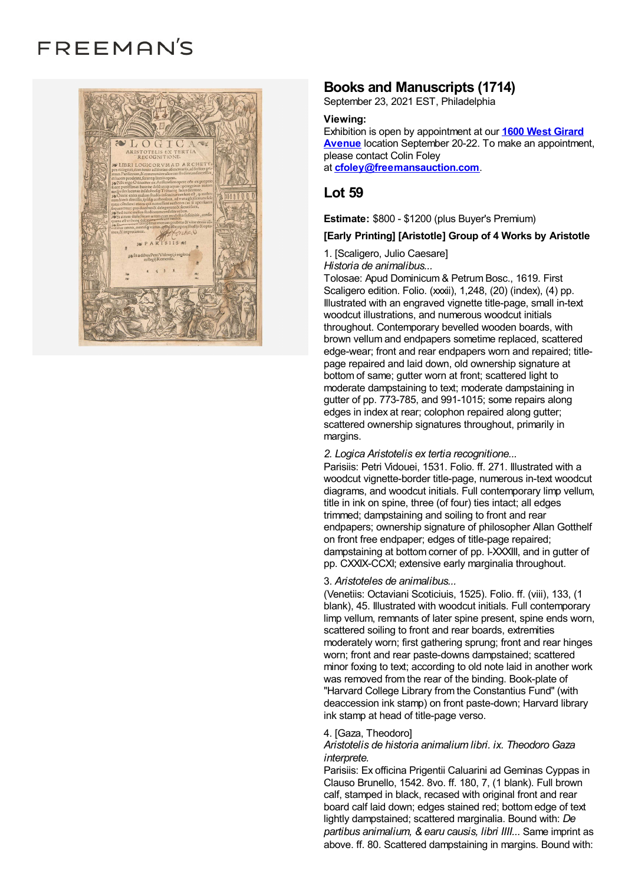# FREEMAN'S



# **Books and Manuscripts (1714)**

September 23, 2021 EST, Philadelphia

### **Viewing:**

Exhibition is open by [appointment](https://www.freemansauction.com/locations) at our **1600 West Girard Avenue** location September 20-22. To make an appointment, please contact Colin Foley at **[cfoley@freemansauction.com](mailto:cfoley@freemansauction.com)**.

# **Lot 59**

**Estimate:** \$800 - \$1200 (plus Buyer's Premium)

## **[Early Printing] [Aristotle] Group of 4 Works by Aristotle**

1. [Scaligero, Julio Caesare] *Historia de animalibus...*

Tolosae: Apud Dominicum & Petrum Bosc., 1619. First Scaligero edition. Folio. (xxxii), 1,248, (20) (index), (4) pp. Illustrated with an engraved vignette title-page, small in-text woodcut illustrations, and numerous woodcut initials throughout. Contemporary bevelled wooden boards, with brown vellum and endpapers sometime replaced, scattered edge-wear; front and rear endpapers worn and repaired; titlepage repaired and laid down, old ownership signature at bottom of same; gutter worn at front; scattered light to moderate dampstaining to text; moderate dampstaining in gutter of pp. 773-785, and 991-1015; some repairs along edges in index at rear; colophon repaired along gutter; scattered ownership signatures throughout, primarily in margins.

#### *2. Logica Aristotelis ex tertia recognitione...*

Parisiis: Petri Vidouei, 1531. Folio. ff. 271. Illustrated with a woodcut vignette-border title-page, numerous in-text woodcut diagrams, and woodcut initials. Full contemporary limp vellum, title in ink on spine, three (of four) ties intact; all edges trimmed; dampstaining and soiling to front and rear endpapers; ownership signature of philosopher Allan Gotthelf on front free endpaper; edges of title-page repaired; dampstaining at bottom corner of pp. I-XXXIII, and in gutter of pp. CXXIX-CCXI; extensive early marginalia throughout.

#### 3. *Aristoteles de animalibus...*

(Venetiis: Octaviani Scoticiuis, 1525). Folio. ff. (viii), 133, (1 blank), 45. Illustrated with woodcut initials. Full contemporary limp vellum, remnants of later spine present, spine ends worn, scattered soiling to front and rear boards, extremities moderately worn; first gathering sprung; front and rear hinges worn; front and rear paste-downs dampstained; scattered minor foxing to text; according to old note laid in another work was removed from the rear of the binding. Book-plate of "Harvard College Library from the Constantius Fund" (with deaccession ink stamp) on front paste-down; Harvard library ink stamp at head of title-page verso.

#### 4. [Gaza, Theodoro]

*Aristotelis de historia animalium libri. ix. Theodoro Gaza interprete.*

Parisiis: Ex officina Prigentii Caluarini ad Geminas Cyppas in Clauso Brunello, 1542. 8vo. ff. 180, 7, (1 blank). Full brown calf, stamped in black, recased with original front and rear board calf laid down; edges stained red; bottom edge of text lightly dampstained; scattered marginalia. Bound with: *De partibus animalium, & earu causis, libri IIII...* Same imprint as above. ff. 80. Scattered dampstaining in margins. Bound with: